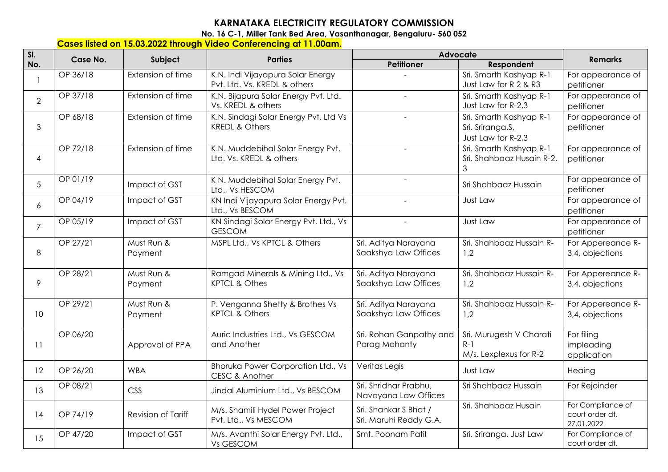## **KARNATAKA ELECTRICITY REGULATORY COMMISSION**

**No. 16 C-1, Miller Tank Bed Area, Vasanthanagar, Bengaluru- 560 052** 

## **Cases listed on 15.03.2022 through Video Conferencing at 11.00am.**

| SI.            | Case No. | Subject               | <b>Parties</b>                                                     | Advocate                                        |                                                                   |                                                    |
|----------------|----------|-----------------------|--------------------------------------------------------------------|-------------------------------------------------|-------------------------------------------------------------------|----------------------------------------------------|
| No.            |          |                       |                                                                    | <b>Petitioner</b>                               | Respondent                                                        | <b>Remarks</b>                                     |
|                | OP 36/18 | Extension of time     | K.N. Indi Vijayapura Solar Energy<br>Pvt. Ltd. Vs. KREDL & others  |                                                 | Sri. Smarth Kashyap R-1<br>Just Law for R 2 & R3                  | For appearance of<br>petitioner                    |
| $\overline{2}$ | OP 37/18 | Extension of time     | K.N. Bijapura Solar Energy Pvt. Ltd.<br>Vs. KREDL & others         | $\overline{a}$                                  | Sri. Smarth Kashyap R-1<br>Just Law for R-2,3                     | For appearance of<br>petitioner                    |
| 3              | OP 68/18 | Extension of time     | K.N. Sindagi Solar Energy Pvt. Ltd Vs<br><b>KREDL &amp; Others</b> | $\sim$                                          | Sri. Smarth Kashyap R-1<br>Sri. Sriranga.S,<br>Just Law for R-2,3 | For appearance of<br>petitioner                    |
| 4              | OP 72/18 | Extension of time     | K.N. Muddebihal Solar Energy Pvt.<br>Ltd. Vs. KREDL & others       | $\omega$                                        | Sri. Smarth Kashyap R-1<br>Sri. Shahbaaz Husain R-2,<br>3         | For appearance of<br>petitioner                    |
| 5              | OP 01/19 | Impact of GST         | K N. Muddebihal Solar Energy Pvt.<br>Ltd., Vs HESCOM               | $\equiv$                                        | Sri Shahbaaz Hussain                                              | For appearance of<br>petitioner                    |
| 6              | OP 04/19 | Impact of GST         | KN Indi Vijayapura Solar Energy Pvt.<br>Ltd., Vs BESCOM            |                                                 | Just Law                                                          | For appearance of<br>petitioner                    |
| $\overline{7}$ | OP 05/19 | Impact of GST         | KN Sindagi Solar Energy Pvt. Ltd., Vs<br><b>GESCOM</b>             | $\sim$                                          | Just Law                                                          | For appearance of<br>petitioner                    |
| 8              | OP 27/21 | Must Run &<br>Payment | MSPL Ltd., Vs KPTCL & Others                                       | Sri. Aditya Narayana<br>Saakshya Law Offices    | Sri. Shahbaaz Hussain R-<br>1,2                                   | For Appereance R-<br>3,4, objections               |
| 9              | OP 28/21 | Must Run &<br>Payment | Ramgad Minerals & Mining Ltd., Vs<br><b>KPTCL &amp; Othes</b>      | Sri. Aditya Narayana<br>Saakshya Law Offices    | Sri. Shahbaaz Hussain R-<br>1,2                                   | For Appereance R-<br>3,4, objections               |
| 10             | OP 29/21 | Must Run &<br>Payment | P. Venganna Shetty & Brothes Vs<br><b>KPTCL &amp; Others</b>       | Sri. Aditya Narayana<br>Saakshya Law Offices    | Sri. Shahbaaz Hussain R-<br>1,2                                   | For Appereance R-<br>3,4, objections               |
| 11             | OP 06/20 | Approval of PPA       | Auric Industries Ltd., Vs GESCOM<br>and Another                    | Sri. Rohan Ganpathy and<br>Parag Mohanty        | Sri. Murugesh V Charati<br>$R-1$<br>M/s. Lexplexus for R-2        | For filing<br>impleading<br>application            |
| 12             | OP 26/20 | <b>WBA</b>            | <b>Bhoruka Power Corporation Ltd., Vs</b><br>CESC & Another        | Veritas Legis                                   | Just Law                                                          | Heaing                                             |
| 13             | OP 08/21 | CSS                   | Jindal Aluminium Ltd., Vs BESCOM                                   | Sri. Shridhar Prabhu,<br>Navayana Law Offices   | Sri Shahbaaz Hussain                                              | For Rejoinder                                      |
| 14             | OP 74/19 | Revision of Tariff    | M/s. Shamili Hydel Power Project<br>Pvt. Ltd., Vs MESCOM           | Sri. Shankar S Bhat /<br>Sri. Maruhi Reddy G.A. | Sri. Shahbaaz Husain                                              | For Compliance of<br>court order dt.<br>27.01.2022 |
| 15             | OP 47/20 | Impact of GST         | M/s. Avanthi Solar Energy Pvt. Ltd.,<br>Vs GESCOM                  | Smt. Poonam Patil                               | Sri. Sriranga, Just Law                                           | For Compliance of<br>court order dt.               |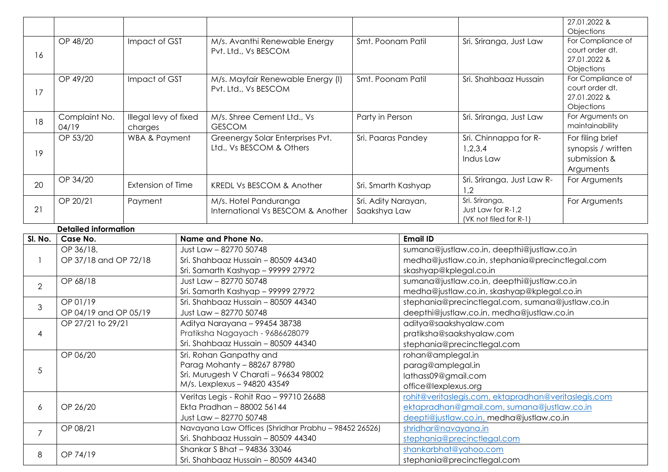|                |                                   |                                  |                                     |                                                                                             |                                                                                                 |                                                      |                                               | 27.01.2022 &<br>Objections                             |
|----------------|-----------------------------------|----------------------------------|-------------------------------------|---------------------------------------------------------------------------------------------|-------------------------------------------------------------------------------------------------|------------------------------------------------------|-----------------------------------------------|--------------------------------------------------------|
|                | OP 48/20<br>Impact of GST         |                                  | M/s. Avanthi Renewable Energy       |                                                                                             | Smt. Poonam Patil                                                                               |                                                      | Sri. Sriranga, Just Law                       | For Compliance of<br>court order dt.                   |
| 16             |                                   |                                  |                                     | Pvt. Ltd., Vs BESCOM                                                                        |                                                                                                 |                                                      |                                               | 27.01.2022 &                                           |
|                | OP 49/20                          | Impact of GST                    |                                     | M/s. Mayfair Renewable Energy (I)                                                           | Smt. Poonam Patil                                                                               |                                                      | Sri. Shahbaaz Hussain                         | Objections<br>For Compliance of                        |
| 17             |                                   |                                  |                                     | Pvt. Ltd., Vs BESCOM                                                                        |                                                                                                 |                                                      | court order dt.<br>27.01.2022 &<br>Objections |                                                        |
| 18             | Complaint No.<br>04/19            | Illegal levy of fixed<br>charges |                                     | M/s. Shree Cement Ltd., Vs<br><b>GESCOM</b>                                                 | Party in Person                                                                                 |                                                      | Sri. Sriranga, Just Law                       | For Arguments on<br>maintainability                    |
| 19             | OP 53/20                          | WBA & Payment                    |                                     | Greenergy Solar Enterprises Pvt.<br>Ltd., Vs BESCOM & Others                                | Sri. Paaras Pandey                                                                              |                                                      | Sri. Chinnappa for R-<br>1,2,3,4<br>Indus Law | For filing brief<br>synopsis / written<br>submission & |
| 20             | OP 34/20                          | Extension of Time                |                                     | <b>KREDL Vs BESCOM &amp; Another</b>                                                        | Sri. Smarth Kashyap                                                                             |                                                      | Sri. Sriranga, Just Law R-<br>1,2             | Arguments<br>For Arguments                             |
|                | OP 20/21                          | Payment                          |                                     | $\overline{M}/s$ . Hotel Panduranga                                                         | Sri. Adity Narayan,                                                                             |                                                      | Sri. Sriranga,                                | For Arguments                                          |
| 21             |                                   |                                  |                                     | International Vs BESCOM & Another                                                           | Saakshya Law                                                                                    |                                                      | Just Law for R-1,2<br>(VK not filed for R-1)  |                                                        |
|                | <b>Detailed information</b>       |                                  |                                     |                                                                                             |                                                                                                 |                                                      |                                               |                                                        |
| SI. No.        | Case No.                          |                                  |                                     | Name and Phone No.                                                                          |                                                                                                 | <b>Email ID</b>                                      |                                               |                                                        |
|                | OP 36/18,                         |                                  |                                     | Just Law - 82770 50748                                                                      |                                                                                                 | sumana@justlaw.co.in, deepthi@justlaw.co.in          |                                               |                                                        |
|                | OP 37/18 and OP 72/18             |                                  |                                     | Sri. Shahbaaz Hussain - 80509 44340                                                         |                                                                                                 | medha@justlaw.co.in, stephania@precinctlegal.com     |                                               |                                                        |
|                |                                   |                                  |                                     | Sri. Samarth Kashyap - 99999 27972                                                          |                                                                                                 | skashyap@kplegal.co.in                               |                                               |                                                        |
| $\overline{2}$ | OP 68/18                          |                                  |                                     | Just Law - 82770 50748                                                                      |                                                                                                 | sumana@justlaw.co.in, deepthi@justlaw.co.in          |                                               |                                                        |
|                |                                   |                                  |                                     | Sri. Samarth Kashyap - 99999 27972                                                          |                                                                                                 | medha@justlaw.co.in, skashyap@kplegal.co.in          |                                               |                                                        |
| 3              | OP 01/19<br>OP 04/19 and OP 05/19 |                                  |                                     | Sri. Shahbaaz Hussain - 80509 44340<br>Just Law - 82770 50748                               | stephania@precinctlegal.com, sumana@justlaw.co.in<br>deepthi@justlaw.co.in, medha@justlaw.co.in |                                                      |                                               |                                                        |
|                | OP 27/21 to 29/21                 |                                  |                                     | Aditya Narayana - 99454 38738                                                               |                                                                                                 | aditya@saakshyalaw.com                               |                                               |                                                        |
| 4              |                                   |                                  |                                     | Pratiksha Nagayach - 9686628079                                                             |                                                                                                 | pratiksha@saakshyalaw.com                            |                                               |                                                        |
|                |                                   |                                  |                                     | Sri. Shahbaaz Hussain - 80509 44340                                                         |                                                                                                 | stephania@precinctlegal.com                          |                                               |                                                        |
|                | OP 06/20                          |                                  |                                     | Sri. Rohan Ganpathy and                                                                     |                                                                                                 |                                                      | rohan@amplegal.in                             |                                                        |
| 5              |                                   |                                  |                                     | Parag Mohanty - 88267 87980                                                                 |                                                                                                 | parag@amplegal.in                                    |                                               |                                                        |
|                |                                   |                                  |                                     | Sri. Murugesh V Charati - 96634 98002                                                       |                                                                                                 | lathass09@gmail.com                                  |                                               |                                                        |
|                |                                   |                                  |                                     | M/s. Lexplexus - 94820 43549                                                                |                                                                                                 | office@lexplexus.org                                 |                                               |                                                        |
| 6              |                                   |                                  |                                     | Veritas Legis - Rohit Rao - 99710 26688                                                     |                                                                                                 | rohit@veritaslegis.com, ektapradhan@veritaslegis.com |                                               |                                                        |
|                | OP 26/20                          |                                  |                                     | Ekta Pradhan - 88002 56144                                                                  |                                                                                                 | ektapradhan@gmail.com, sumana@justlaw.co.in          |                                               |                                                        |
|                |                                   |                                  |                                     | Just Law - 82770 50748                                                                      |                                                                                                 | deepti@justlaw.co.in, medha@justlaw.co.in            |                                               |                                                        |
| $\overline{7}$ | OP 08/21                          |                                  |                                     | Navayana Law Offices (Shridhar Prabhu - 98452 26526)<br>Sri. Shahbaaz Hussain - 80509 44340 |                                                                                                 | shridhar@navayana.in<br>stephania@precinctlegal.com  |                                               |                                                        |
|                | OP 74/19<br>8                     |                                  |                                     | Shankar S Bhat - 94836 33046                                                                |                                                                                                 | shankarbhat@yahoo.com                                |                                               |                                                        |
|                |                                   |                                  | Sri. Shahbaaz Hussain - 80509 44340 |                                                                                             |                                                                                                 | stephania@precinctlegal.com                          |                                               |                                                        |